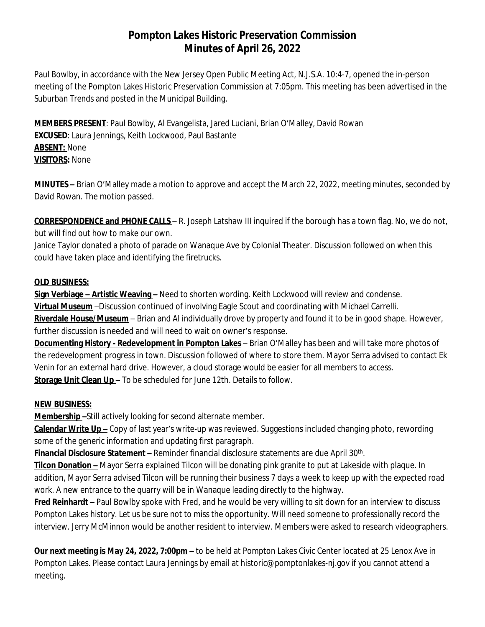## **Pompton Lakes Historic Preservation Commission Minutes of April 26, 2022**

Paul Bowlby, in accordance with the New Jersey Open Public Meeting Act, N.J.S.A. 10:4-7, opened the in-person meeting of the Pompton Lakes Historic Preservation Commission at 7:05pm. This meeting has been advertised in the *Suburban Trends* and posted in the Municipal Building.

**MEMBERS PRESENT**: Paul Bowlby, Al Evangelista, Jared Luciani, Brian O'Malley, David Rowan **EXCUSED**: Laura Jennings, Keith Lockwood, Paul Bastante **ABSENT:** None **VISITORS:** None

**MINUTES –** Brian O'Malley made a motion to approve and accept the March 22, 2022, meeting minutes, seconded by David Rowan. The motion passed.

**CORRESPONDENCE and PHONE CALLS** – R. Joseph Latshaw III inquired if the borough has a town flag. No, we do not, but will find out how to make our own.

Janice Taylor donated a photo of parade on Wanaque Ave by Colonial Theater. Discussion followed on when this could have taken place and identifying the firetrucks.

## **OLD BUSINESS:**

**Sign Verbiage – Artistic Weaving –** Need to shorten wording. Keith Lockwood will review and condense. **Virtual Museum** –Discussion continued of involving Eagle Scout and coordinating with Michael Carrelli.

**Riverdale House/Museum** – Brian and Al individually drove by property and found it to be in good shape. However, further discussion is needed and will need to wait on owner's response.

**Documenting History - Redevelopment in Pompton Lakes** – Brian O'Malley has been and will take more photos of the redevelopment progress in town. Discussion followed of where to store them. Mayor Serra advised to contact Ek Venin for an external hard drive. However, a cloud storage would be easier for all members to access. **Storage Unit Clean Up** – To be scheduled for June 12th. Details to follow.

## **NEW BUSINESS:**

**Membership –**Still actively looking for second alternate member.

**Calendar Write Up –** Copy of last year's write-up was reviewed. Suggestions included changing photo, rewording some of the generic information and updating first paragraph.

**Financial Disclosure Statement –** Reminder financial disclosure statements are due April 30th .

**Tilcon Donation –** Mayor Serra explained Tilcon will be donating pink granite to put at Lakeside with plaque. In addition, Mayor Serra advised Tilcon will be running their business 7 days a week to keep up with the expected road work. A new entrance to the quarry will be in Wanaque leading directly to the highway.

**Fred Reinhardt –** Paul Bowlby spoke with Fred, and he would be very willing to sit down for an interview to discuss Pompton Lakes history. Let us be sure not to miss the opportunity. Will need someone to professionally record the interview. Jerry McMinnon would be another resident to interview. Members were asked to research videographers.

**Our next meeting is May 24, 2022, 7:00pm –** to be held at Pompton Lakes Civic Center located at 25 Lenox Ave in Pompton Lakes. Please contact Laura Jennings by email at historic@pomptonlakes-nj.gov if you cannot attend a meeting.